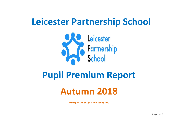# **Leicester Partnership School**



## **Pupil Premium Report**

## **Autumn 2018**

**This report will be updated in Spring 2019**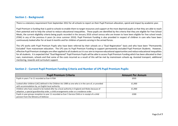#### **Section 1 - Background:**

There is a statutory requirement from September 2012 for all schools to report on their Pupil Premium allocation, spend and impact by academic year.

Pupil Premium is funding that is paid to schools to enable them to target resources and support at the most deprived pupils so that they are able to reach their potential and to help the school to reduce educational inequalities. These pupils are identified by the criteria that they are eligible for Free School Meals, the current eligibility criteria being pupils recorded in the January 2016 school census who are known to have been eligible for free school meals (FSM) in any of the previous 6 years (ie since summer 2010). Pupil Premium Funding is also provided in respect of children in care who have been continuously looked after for at least 6 months and for children of parents serving in the armed forces.

The LPS works with Pupil Premium Pupils who have been referred by their schools on a "Dual Registration" basis and who have been "Permanently Excluded" from mainstream education. The LPS uses its Pupil Premium Funding to support permanently excluded Pupil Premium Students. However, effective Pupil Premium strategies are often applied to all students as it is our aim to improve educational opportunities and reduce educational inequalities for all students. It is expected that "Dual Registered" Pupil Premium Pupils will be able to access Pupil Premium Funding which has been allocated to their own, mainstream, schools and that some of the costs incurred as a result of this will be met by mainstream schools eg. Assisted transport, additional mentoring, rewards and curriculum support.

| Section 2 - Current Pupil Premium Funding Criteria and Number of LPS Pupil Premium Pupils: |  |
|--------------------------------------------------------------------------------------------|--|
|--------------------------------------------------------------------------------------------|--|

| <b>Pupil Premium Criteria</b>                                                                                                                                                               | <b>Amount Per Annum</b> |
|---------------------------------------------------------------------------------------------------------------------------------------------------------------------------------------------|-------------------------|
| Pupils in years 7 to 11 recorded as Ever 6 FSM                                                                                                                                              | £935                    |
| Looked-after children (LAC) defined in the Children Act 1989 as one who is in the care of, or provided<br>with accommodation by, an English local authority                                 | £1,900                  |
| Children who have ceased to be looked after by a local authority in England and Wales because of<br>adoption, a special guardianship order, a child arrangements order or a residence order | £1.900                  |
| Pupils in year groups reception to year 11 recorded as Ever 5 Service Child or in receipt of a child<br>pension from the Ministry of Defence                                                | £300                    |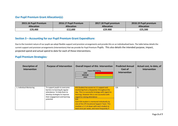#### **Our Pupil Premium Grant Allocation(s):**

| 2015.16 Pupil Premium | 2016.17 Pupil Premium | 2017.18 Pupil premium | 2018.19 Pupil premium |
|-----------------------|-----------------------|-----------------------|-----------------------|
| <b>Allocation</b>     | <b>Allocation</b>     | <b>Allocation</b>     | <b>Allocation</b>     |
| £29,400               | £12,600               | £29.900               | £25,500               |

#### **Section 3 – Accounting for our Pupil Premium Grant Expenditure:**

Due to the transient nature of our pupils we adopt flexible support and provision arrangements and provide this on an individualised basis. The table below details the current support and provision arrangements (Interventions) that we provide for Pupil Premium Pupils. This also details the intended purpose, impact, projected spend and actual spend to date for each of these interventions.

#### **Pupil Premium Strategies***:*

| Description of<br><b>Intervention</b> | <b>Purpose of Intervention</b>                                                                                                                                                | <b>Overall Impact of this Intervention</b><br><b>Impact RAG Rating</b><br>LOW<br><b>MEDIUM</b><br><b>HIGH</b>                                                                                                                                                                                                                                                                                                                      | <b>Predicted Annual</b><br>Cost of<br><b>Intervention</b> | Actual cost, to date, of<br>Intervention |
|---------------------------------------|-------------------------------------------------------------------------------------------------------------------------------------------------------------------------------|------------------------------------------------------------------------------------------------------------------------------------------------------------------------------------------------------------------------------------------------------------------------------------------------------------------------------------------------------------------------------------------------------------------------------------|-----------------------------------------------------------|------------------------------------------|
| 1. Individual Mentoring               | To support pupils to overcome<br>barriers to learning & regular<br>attendance. To help them to<br>develop strategies to improve<br>their engagement and learning<br>potential | KS3 Student has access to 1:1 support and<br>mentoring from a Keyworker throughout the<br>day. This is a successful strategy with regard to<br>learning. However this is not successful with<br>regard to raising attendance<br>KS4<br>Each KS4 student is mentored individually by<br>one of the LPS Vocational Support Team. This<br>involves a 1-1 sit down with each student at<br>least once per week, and more frequently if | 12k                                                       | 7k                                       |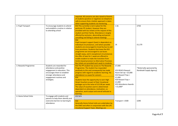|                       |                                                                                                                                                                                            | required. All concerns are also raised to Parents<br>of students (positive or negative) via telephone<br>calls to ensure that a holistic approach is taken<br>when supporting students via mentoring.                                                                                                                                                                                                                                                                                                                                                                                                                                                                                                                                                                                                    |                                                                                                                                                                            |                                                       |
|-----------------------|--------------------------------------------------------------------------------------------------------------------------------------------------------------------------------------------|----------------------------------------------------------------------------------------------------------------------------------------------------------------------------------------------------------------------------------------------------------------------------------------------------------------------------------------------------------------------------------------------------------------------------------------------------------------------------------------------------------------------------------------------------------------------------------------------------------------------------------------------------------------------------------------------------------------------------------------------------------------------------------------------------------|----------------------------------------------------------------------------------------------------------------------------------------------------------------------------|-------------------------------------------------------|
| 2. Pupil Transport    | To encourage students to attend<br>and establish a routine in relation<br>to attending school                                                                                              | KS3 This currently is not in place for this<br>particular PP student. However they are<br>provided with bus tickets at the request of this<br>student and their family. Attendance is largely<br>affected by exclusion, absconding and parent<br>cancelling and failing to attend meetings<br>KS4<br>Pupil transport support (taxis) is dependent on<br>individual circumstances, and where possible<br>students are encouraged to travel by bus to and<br>from provisions. Students that leave the KS3<br>programme are encouraged to use buses<br>straight away, and in exceptional circumstances<br>the offer of taxis for 1 week are offered to<br>enable student to make the transition from<br>Centre based provision to Alternative Provision.<br>Bus tickets are provided each week to students. | 1.5k<br>2k                                                                                                                                                                 | £750<br>£1,170                                        |
| 3. Rewards Programme  | Students are rewarded for<br>attendance and positive<br>engagement in education. This<br>encourages them to establish<br>stronger attendance and<br>engagement routines and<br>strategies. | KS3 The PP student has access to The Rewards<br>Programme. The student has responded<br>positively to this and consequently has made<br>progress with regard to academic learning. His<br>attendance is a cause for concern<br>KS4<br>Students have the opportunity to earn High<br><b>Street Vouchers as part of their Vocational</b><br>packages up to the value of £15.00 per week.<br>The value of vouchers earnt is determined<br>dependant on attendance, motivation, co-<br>operation, work output and overall attitude to<br>learning.                                                                                                                                                                                                                                                           | £7,000<br><b>KS3 REACH Reward</b><br>Room Set $Up = £5,000$<br>KS3 Reward Trips =<br>£1,000<br>KS4 Reward Trips =<br>£1,000<br><b>KS3 Attendance Awards</b><br>$=$ £1,000* | *[Externally sponsored by<br>Randstadt Supply Agency] |
| 4. Home School Visits | To engage with students and<br>parents to help them identify and<br>overcome barriers to learning &<br>attendance                                                                          | KS3 N/A<br>KS4<br>Generally Home School visits are undertaken by<br>the EWO and often in conjunction with the LPS<br><b>Vocational Support Team. Meetings are</b>                                                                                                                                                                                                                                                                                                                                                                                                                                                                                                                                                                                                                                        | Transport = £500                                                                                                                                                           | £290                                                  |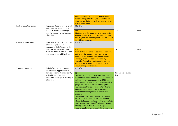| 5. Alternative Curriculum | To provide students with tailored<br>educational provision for a period<br>of time in order to encourage<br>them to engage more effectively in<br>education.                                                  | occasionally held at the home address when<br>Parents struggle to attend, to ensure that all<br>strategies are being utilised to engage with the<br>Parent and Student.<br>KS3 N/A<br>KS4<br>Students have the opportunity to access taster<br>days on various AP courses before committing<br>to a programme, and this process can include up<br>to 4 different courses.                                                                                                                                                                                                                                                                                                                                             | 1.5k                          | £875 |
|---------------------------|---------------------------------------------------------------------------------------------------------------------------------------------------------------------------------------------------------------|-----------------------------------------------------------------------------------------------------------------------------------------------------------------------------------------------------------------------------------------------------------------------------------------------------------------------------------------------------------------------------------------------------------------------------------------------------------------------------------------------------------------------------------------------------------------------------------------------------------------------------------------------------------------------------------------------------------------------|-------------------------------|------|
| 6. Alternative Provision  | To provide students with tailored<br>educational provision for an<br>extended period of time in order<br>to encourage them to engage<br>more effectively in education and<br>to develop employability skills. | KS3 N/A<br>KS4<br>Each student accessing a Vocational programme<br>at KS4 has the opportunity to work to an<br>individual and bespoke programme of their<br>choosing. There is a degree of flexibility<br>whereby if a student is not engaging changes<br>can be made to move to another course to<br>ensure engagement remains.                                                                                                                                                                                                                                                                                                                                                                                      | 1k                            | £200 |
| 7. Careers Guidance       | To help focus students on the<br>future and to support them to<br>develop personal & employability<br>skills which improve their<br>motivation & engage in learning &<br>education                            | KS3 N/A<br>KS4<br>Students work on a 1-1 basis with their LPS<br>Vocational Support Worker around their post 16<br>options and are also supported by CNXS and<br>LEBC representatives. Students work through a<br>programme called START which highlights<br>opportunities that best suit the interests and<br>needs of pupils. Support is also provided in<br>terms of completing the UCAS application<br>process.<br>We are encouraging LPS students to access a<br>Provision called Ladder which adds another<br>element of support and also enables students to<br>work towards Level 1 qualifications in PSD and<br>Employability, as well as undertaking a work<br>experience placement through this programme. | Paid via main budget<br>[14k] |      |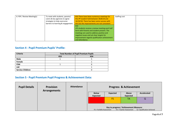| 8. PSP / Review Meeting(s) | To meet with students, parents/    | KS3 There have been numerous meetings for       | Staffing cost |  |
|----------------------------|------------------------------------|-------------------------------------------------|---------------|--|
|                            | carers & key agencies to agree     | this PP student held between 30/8/18 and        |               |  |
|                            | strategies to help overcome        | 16/10/18. There has been some success with      |               |  |
|                            | barriers to learning & engagement. | this but the improvements are not consistent    |               |  |
|                            |                                    | KS4                                             |               |  |
|                            |                                    | LPS students receive a review meeting each half |               |  |
|                            |                                    | term with Parents and student present. The      |               |  |
|                            |                                    | meetings are used to address positive and       |               |  |
|                            |                                    | negative issues and set clear targets for       |               |  |
|                            |                                    | improvement regards qualification achievement   |               |  |
|                            |                                    | and attendance.                                 |               |  |

### **Section 4 - Pupil Premium Pupils' Profile:**

| <b>Criteria</b>         | <b>Total Number of Pupil Premium Pupils</b> |     |  |  |  |  |
|-------------------------|---------------------------------------------|-----|--|--|--|--|
|                         | KS3                                         | KS4 |  |  |  |  |
| <b>Male</b>             |                                             |     |  |  |  |  |
| Female                  |                                             |     |  |  |  |  |
| <b>FSM</b>              |                                             |     |  |  |  |  |
| <b>LAC</b>              |                                             |     |  |  |  |  |
| <b>Service Children</b> |                                             |     |  |  |  |  |

### **Section 5 - Pupil Premium Pupil Progress & Achievement Data***:*

| <b>Pupil Details</b> | <b>Provision</b><br><b>Arrangements</b> | <b>Attendance</b>         |                 |                                                                   | <b>Progress &amp; Achievement</b> |  |  |
|----------------------|-----------------------------------------|---------------------------|-----------------|-------------------------------------------------------------------|-----------------------------------|--|--|
|                      |                                         | <b>Below</b><br>Expected  | <b>Expected</b> | Above<br><b>Expected</b>                                          | <b>Accelerated</b>                |  |  |
|                      |                                         |                           | FS              | TA                                                                | Q                                 |  |  |
|                      |                                         | FS = ForSkills Assessment |                 | Key to progress / Achievement Measure:<br>TA = Teacher Assessment | $Q =$ Qualification Achieved      |  |  |